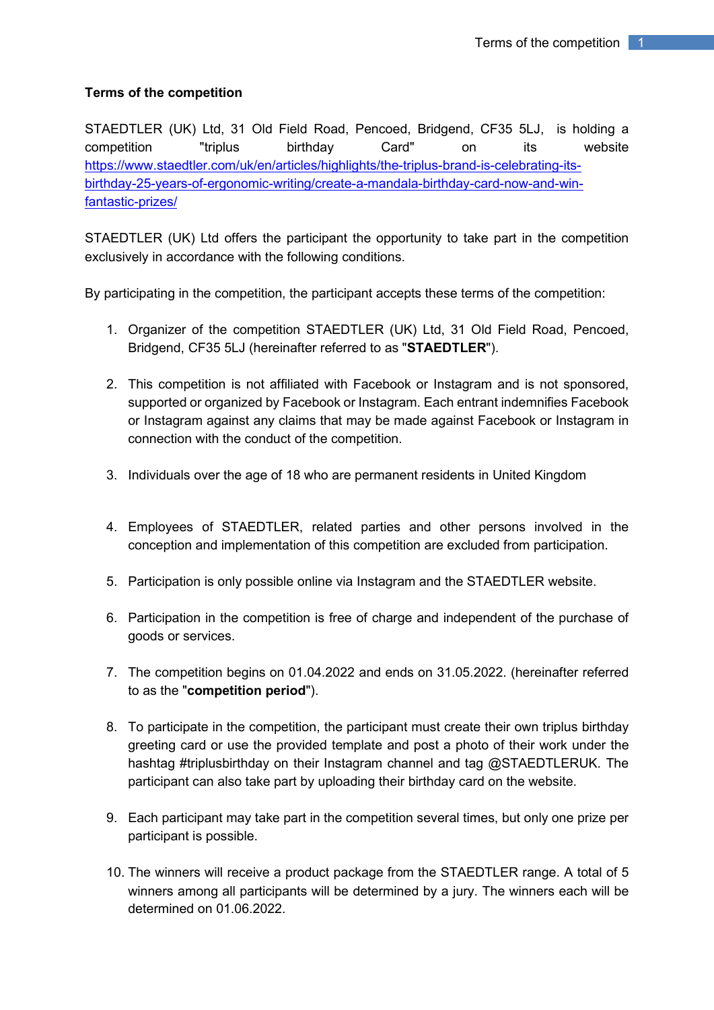## **Terms of the competition**

STAEDTLER (UK) Ltd, 31 Old Field Road, Pencoed, Bridgend, CF35 5LJ, is holding a competition "triplus birthday Card" on its website [https://www.staedtler.com/uk/en/articles/highlights/the-triplus-brand-is-celebrating-its](https://www.staedtler.com/uk/en/articles/highlights/the-triplus-brand-is-celebrating-its-birthday-25-years-of-ergonomic-writing/create-a-mandala-birthday-card-now-and-win-fantastic-prizes/)[birthday-25-years-of-ergonomic-writing/create-a-mandala-birthday-card-now-and-win](https://www.staedtler.com/uk/en/articles/highlights/the-triplus-brand-is-celebrating-its-birthday-25-years-of-ergonomic-writing/create-a-mandala-birthday-card-now-and-win-fantastic-prizes/)[fantastic-prizes/](https://www.staedtler.com/uk/en/articles/highlights/the-triplus-brand-is-celebrating-its-birthday-25-years-of-ergonomic-writing/create-a-mandala-birthday-card-now-and-win-fantastic-prizes/)

STAEDTLER (UK) Ltd offers the participant the opportunity to take part in the competition exclusively in accordance with the following conditions.

By participating in the competition, the participant accepts these terms of the competition:

- 1. Organizer of the competition STAEDTLER (UK) Ltd, 31 Old Field Road, Pencoed, Bridgend, CF35 5LJ (hereinafter referred to as "**STAEDTLER**").
- 2. This competition is not affiliated with Facebook or Instagram and is not sponsored, supported or organized by Facebook or Instagram. Each entrant indemnifies Facebook or Instagram against any claims that may be made against Facebook or Instagram in connection with the conduct of the competition.
- 3. Individuals over the age of 18 who are permanent residents in United Kingdom
- 4. Employees of STAEDTLER, related parties and other persons involved in the conception and implementation of this competition are excluded from participation.
- 5. Participation is only possible online via Instagram and the STAEDTLER website.
- 6. Participation in the competition is free of charge and independent of the purchase of goods or services.
- 7. The competition begins on 01.04.2022 and ends on 31.05.2022. (hereinafter referred to as the "**competition period**").
- 8. To participate in the competition, the participant must create their own triplus birthday greeting card or use the provided template and post a photo of their work under the hashtag #triplusbirthday on their Instagram channel and tag @STAEDTLERUK. The participant can also take part by uploading their birthday card on the website.
- 9. Each participant may take part in the competition several times, but only one prize per participant is possible.
- 10. The winners will receive a product package from the STAEDTLER range. A total of 5 winners among all participants will be determined by a jury. The winners each will be determined on 01.06.2022.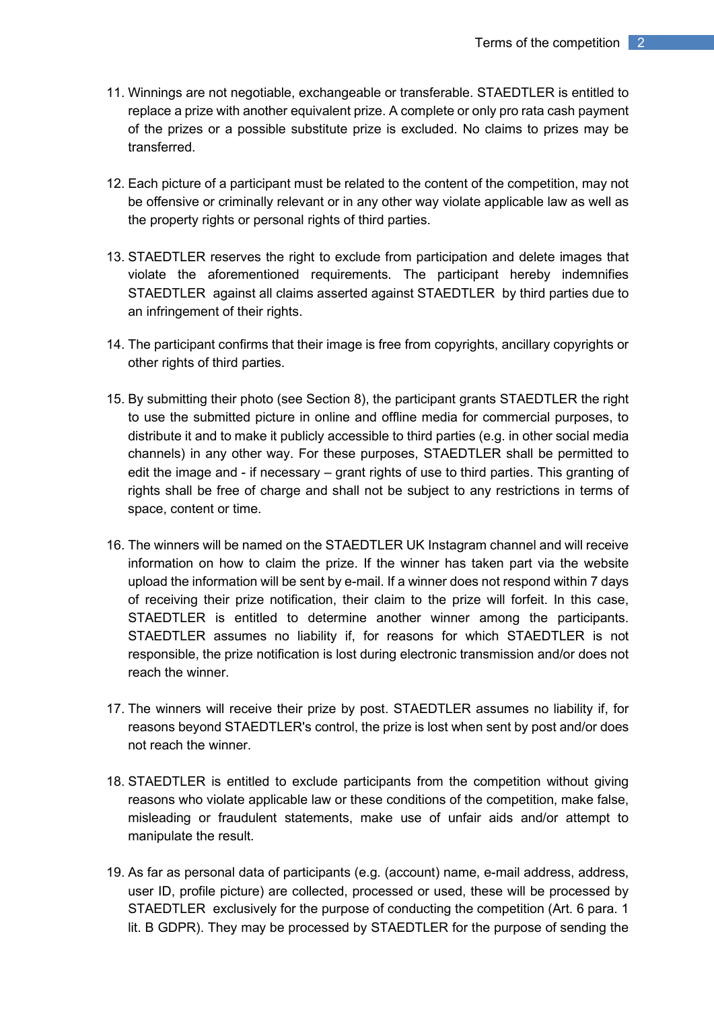- 11. Winnings are not negotiable, exchangeable or transferable. STAEDTLER is entitled to replace a prize with another equivalent prize. A complete or only pro rata cash payment of the prizes or a possible substitute prize is excluded. No claims to prizes may be transferred.
- 12. Each picture of a participant must be related to the content of the competition, may not be offensive or criminally relevant or in any other way violate applicable law as well as the property rights or personal rights of third parties.
- 13. STAEDTLER reserves the right to exclude from participation and delete images that violate the aforementioned requirements. The participant hereby indemnifies STAEDTLER against all claims asserted against STAEDTLER by third parties due to an infringement of their rights.
- 14. The participant confirms that their image is free from copyrights, ancillary copyrights or other rights of third parties.
- 15. By submitting their photo (see Section 8), the participant grants STAEDTLER the right to use the submitted picture in online and offline media for commercial purposes, to distribute it and to make it publicly accessible to third parties (e.g. in other social media channels) in any other way. For these purposes, STAEDTLER shall be permitted to edit the image and - if necessary – grant rights of use to third parties. This granting of rights shall be free of charge and shall not be subject to any restrictions in terms of space, content or time.
- 16. The winners will be named on the STAEDTLER UK Instagram channel and will receive information on how to claim the prize. If the winner has taken part via the website upload the information will be sent by e-mail. If a winner does not respond within 7 days of receiving their prize notification, their claim to the prize will forfeit. In this case, STAEDTLER is entitled to determine another winner among the participants. STAEDTLER assumes no liability if, for reasons for which STAEDTLER is not responsible, the prize notification is lost during electronic transmission and/or does not reach the winner.
- 17. The winners will receive their prize by post. STAEDTLER assumes no liability if, for reasons beyond STAEDTLER's control, the prize is lost when sent by post and/or does not reach the winner.
- 18. STAEDTLER is entitled to exclude participants from the competition without giving reasons who violate applicable law or these conditions of the competition, make false, misleading or fraudulent statements, make use of unfair aids and/or attempt to manipulate the result.
- 19. As far as personal data of participants (e.g. (account) name, e-mail address, address, user ID, profile picture) are collected, processed or used, these will be processed by STAEDTLER exclusively for the purpose of conducting the competition (Art. 6 para. 1 lit. B GDPR). They may be processed by STAEDTLER for the purpose of sending the